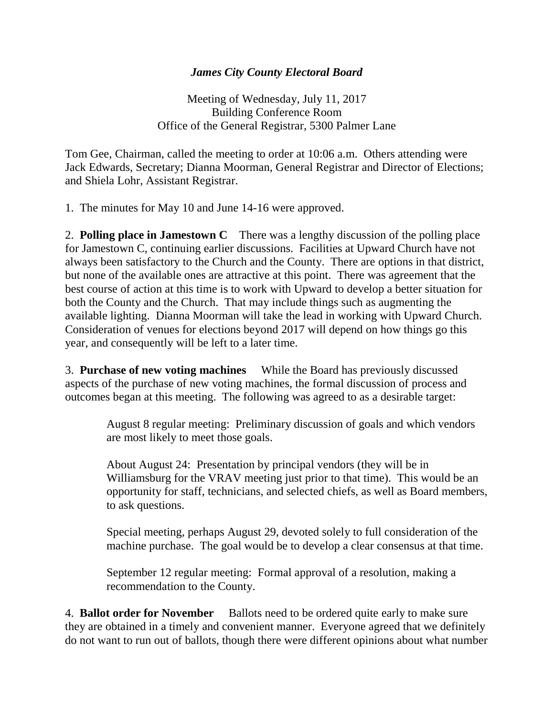## *James City County Electoral Board*

Meeting of Wednesday, July 11, 2017 Building Conference Room Office of the General Registrar, 5300 Palmer Lane

Tom Gee, Chairman, called the meeting to order at 10:06 a.m. Others attending were Jack Edwards, Secretary; Dianna Moorman, General Registrar and Director of Elections; and Shiela Lohr, Assistant Registrar.

1. The minutes for May 10 and June 14-16 were approved.

2. **Polling place in Jamestown C** There was a lengthy discussion of the polling place for Jamestown C, continuing earlier discussions. Facilities at Upward Church have not always been satisfactory to the Church and the County. There are options in that district, but none of the available ones are attractive at this point. There was agreement that the best course of action at this time is to work with Upward to develop a better situation for both the County and the Church. That may include things such as augmenting the available lighting. Dianna Moorman will take the lead in working with Upward Church. Consideration of venues for elections beyond 2017 will depend on how things go this year, and consequently will be left to a later time.

3. **Purchase of new voting machines** While the Board has previously discussed aspects of the purchase of new voting machines, the formal discussion of process and outcomes began at this meeting. The following was agreed to as a desirable target:

> August 8 regular meeting: Preliminary discussion of goals and which vendors are most likely to meet those goals.

About August 24: Presentation by principal vendors (they will be in Williamsburg for the VRAV meeting just prior to that time). This would be an opportunity for staff, technicians, and selected chiefs, as well as Board members, to ask questions.

Special meeting, perhaps August 29, devoted solely to full consideration of the machine purchase. The goal would be to develop a clear consensus at that time.

September 12 regular meeting: Formal approval of a resolution, making a recommendation to the County.

4. **Ballot order for November** Ballots need to be ordered quite early to make sure they are obtained in a timely and convenient manner. Everyone agreed that we definitely do not want to run out of ballots, though there were different opinions about what number